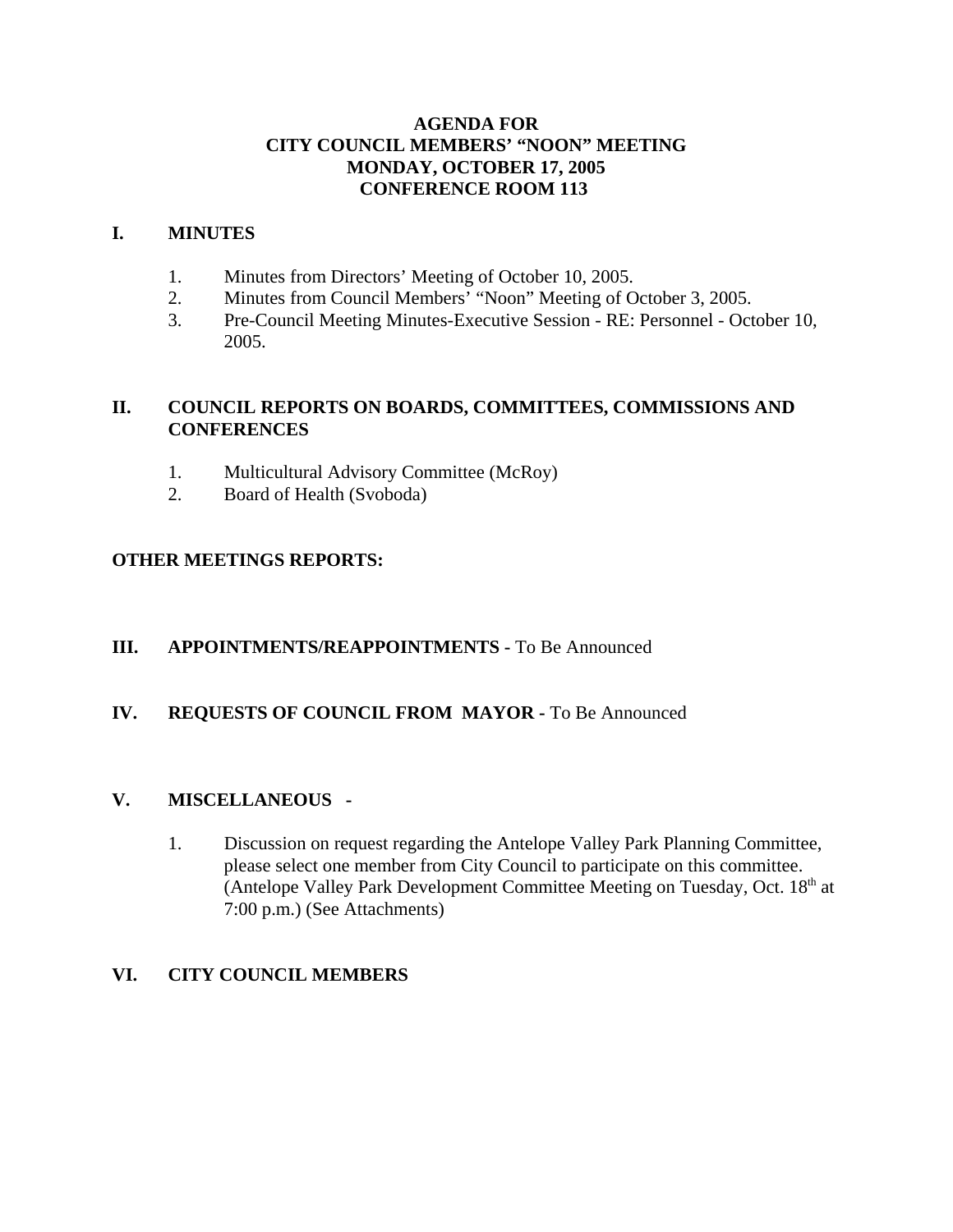## **AGENDA FOR CITY COUNCIL MEMBERS' "NOON" MEETING MONDAY, OCTOBER 17, 2005 CONFERENCE ROOM 113**

## **I. MINUTES**

- 1. Minutes from Directors' Meeting of October 10, 2005.
- 2. Minutes from Council Members' "Noon" Meeting of October 3, 2005.
- 3. Pre-Council Meeting Minutes-Executive Session RE: Personnel October 10, 2005.

## **II. COUNCIL REPORTS ON BOARDS, COMMITTEES, COMMISSIONS AND CONFERENCES**

- 1. Multicultural Advisory Committee (McRoy)
- 2. Board of Health (Svoboda)

## **OTHER MEETINGS REPORTS:**

## **III.** APPOINTMENTS/REAPPOINTMENTS - To Be Announced

## **IV. REQUESTS OF COUNCIL FROM MAYOR -** To Be Announced

## **V. MISCELLANEOUS -**

1. Discussion on request regarding the Antelope Valley Park Planning Committee, please select one member from City Council to participate on this committee. (Antelope Valley Park Development Committee Meeting on Tuesday, Oct.  $18<sup>th</sup>$  at 7:00 p.m.) (See Attachments)

## **VI. CITY COUNCIL MEMBERS**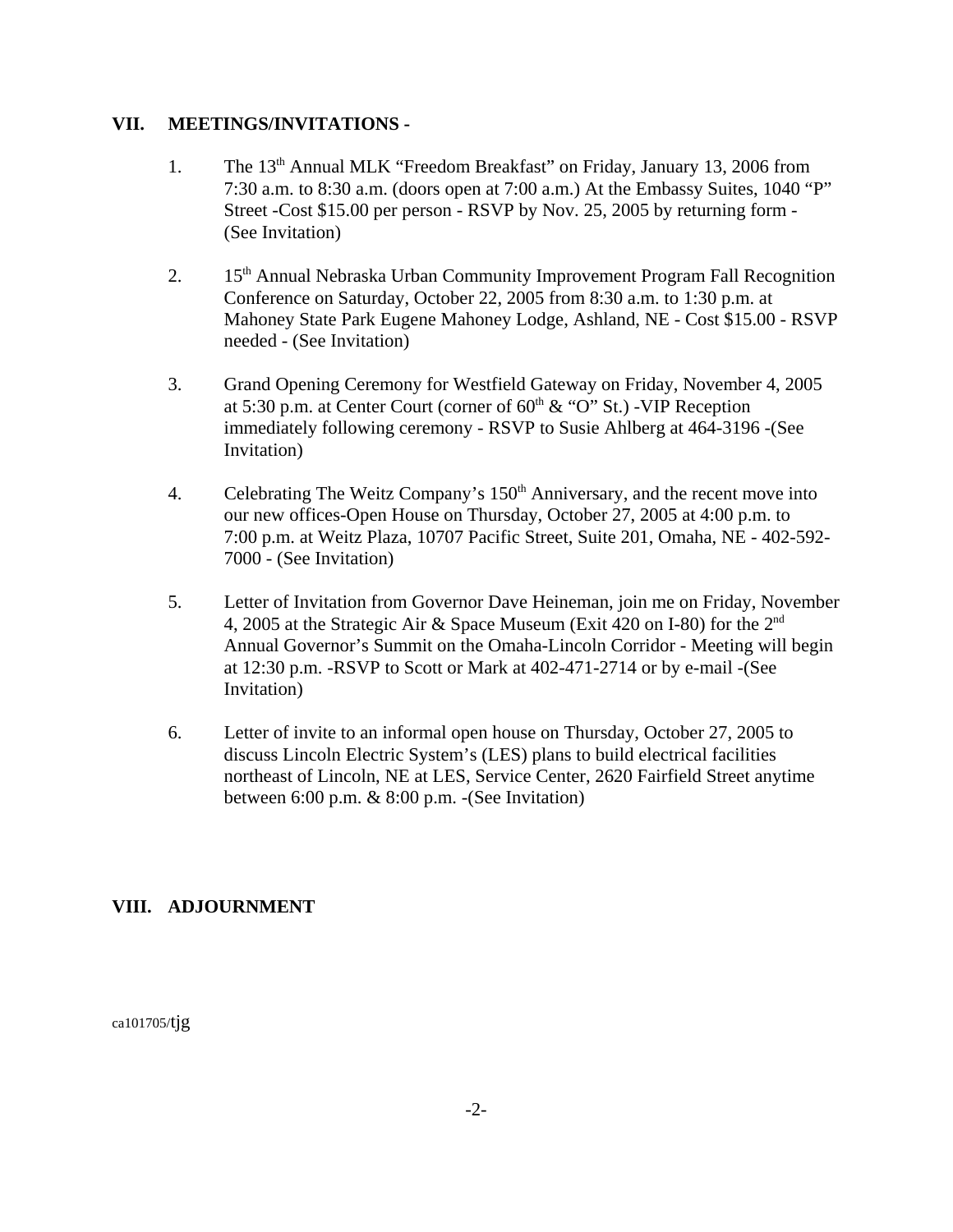## **VII. MEETINGS/INVITATIONS -**

- 1. The 13<sup>th</sup> Annual MLK "Freedom Breakfast" on Friday, January 13, 2006 from 7:30 a.m. to 8:30 a.m. (doors open at 7:00 a.m.) At the Embassy Suites, 1040 "P" Street -Cost \$15.00 per person - RSVP by Nov. 25, 2005 by returning form - (See Invitation)
- 2. 15<sup>th</sup> Annual Nebraska Urban Community Improvement Program Fall Recognition Conference on Saturday, October 22, 2005 from 8:30 a.m. to 1:30 p.m. at Mahoney State Park Eugene Mahoney Lodge, Ashland, NE - Cost \$15.00 - RSVP needed - (See Invitation)
- 3. Grand Opening Ceremony for Westfield Gateway on Friday, November 4, 2005 at 5:30 p.m. at Center Court (corner of  $60<sup>th</sup>$  & "O" St.) -VIP Reception immediately following ceremony - RSVP to Susie Ahlberg at 464-3196 -(See Invitation)
- 4. Celebrating The Weitz Company's 150<sup>th</sup> Anniversary, and the recent move into our new offices-Open House on Thursday, October 27, 2005 at 4:00 p.m. to 7:00 p.m. at Weitz Plaza, 10707 Pacific Street, Suite 201, Omaha, NE - 402-592- 7000 - (See Invitation)
- 5. Letter of Invitation from Governor Dave Heineman, join me on Friday, November 4, 2005 at the Strategic Air & Space Museum (Exit 420 on I-80) for the 2nd Annual Governor's Summit on the Omaha-Lincoln Corridor - Meeting will begin at 12:30 p.m. -RSVP to Scott or Mark at 402-471-2714 or by e-mail -(See Invitation)
- 6. Letter of invite to an informal open house on Thursday, October 27, 2005 to discuss Lincoln Electric System's (LES) plans to build electrical facilities northeast of Lincoln, NE at LES, Service Center, 2620 Fairfield Street anytime between 6:00 p.m. & 8:00 p.m. -(See Invitation)

## **VIII. ADJOURNMENT**

ca101705/tjg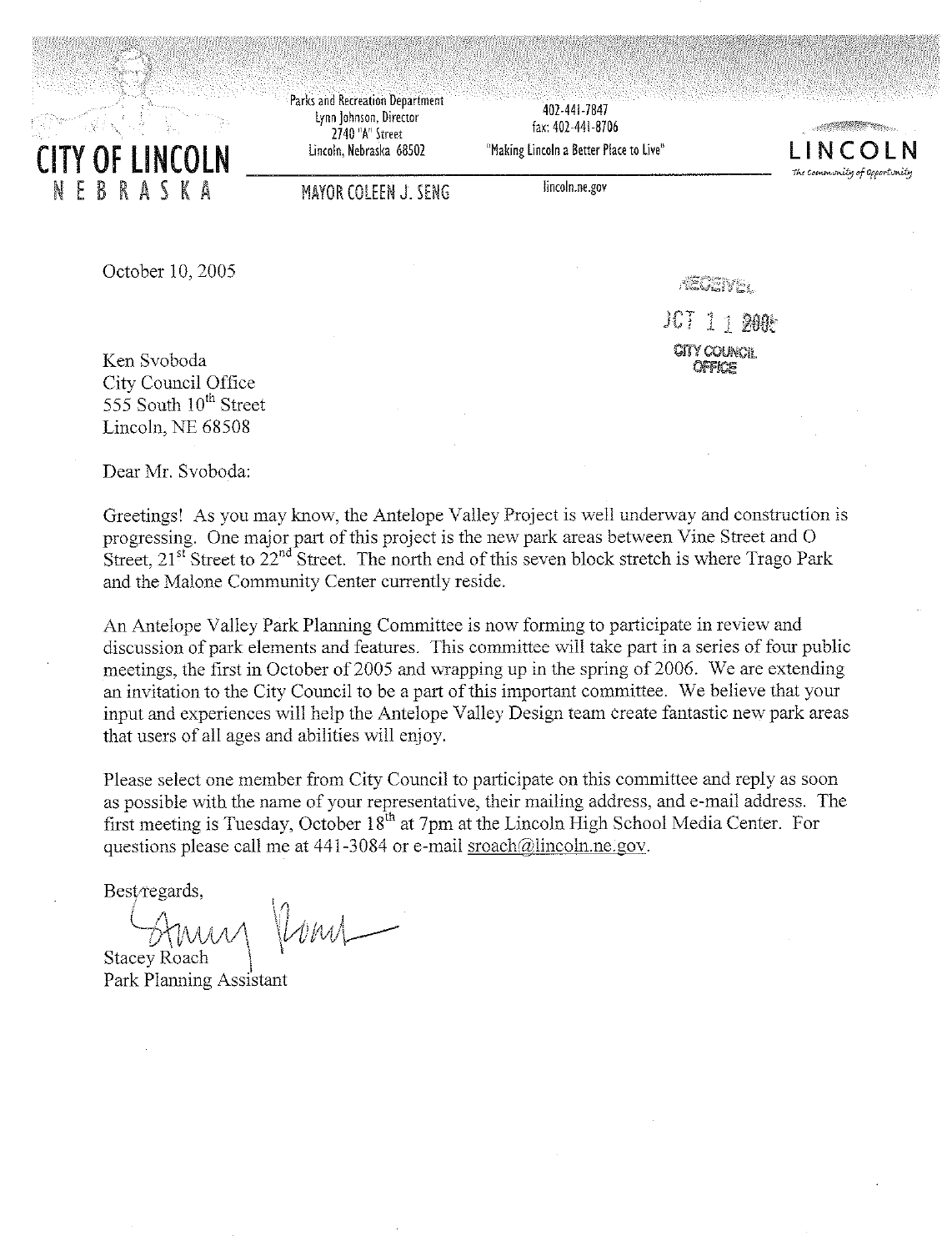

Parks and Recreation Department Lynn Johnson, Director 2740 "A" Street Lincoln, Nebraska 68502

402-441-7847 fax: 402-441-8706

"Making Lincoln a Better Place to Live"



**MAYOR COLEEN J: SENG** 

lincoln.ne.gov

October 10, 2005

**RIGHTYEY** 

JCT 1 1 DAAM CITY COUNCE

Ken Svoboda City Council Office 555 South 10<sup>th</sup> Street Lincoln, NE 68508

Dear Mr. Svoboda:

Greetings! As you may know, the Antelope Valley Project is well underway and construction is progressing. One major part of this project is the new park areas between Vine Street and O Street,  $21^{st}$  Street to  $22^{nd}$  Street. The north end of this seven block stretch is where Trago Park and the Malone Community Center currently reside.

An Antelope Valley Park Planning Committee is now forming to participate in review and discussion of park elements and features. This committee will take part in a series of four public meetings, the first in October of 2005 and wrapping up in the spring of 2006. We are extending an invitation to the City Council to be a part of this important committee. We believe that your input and experiences will help the Antelope Valley Design team create fantastic new park areas that users of all ages and abilities will enjoy.

Please select one member from City Council to participate on this committee and reply as soon as possible with the name of your representative, their mailing address, and e-mail address. The first meeting is Tuesday, October 18<sup>th</sup> at 7pm at the Lincoln High School Media Center. For questions please call me at 441-3084 or e-mail sroach@lincoln.ne.gov.

Best regards,

 $l$ *v*  $l$ **Stacey Roach** 

Park Planning Assistant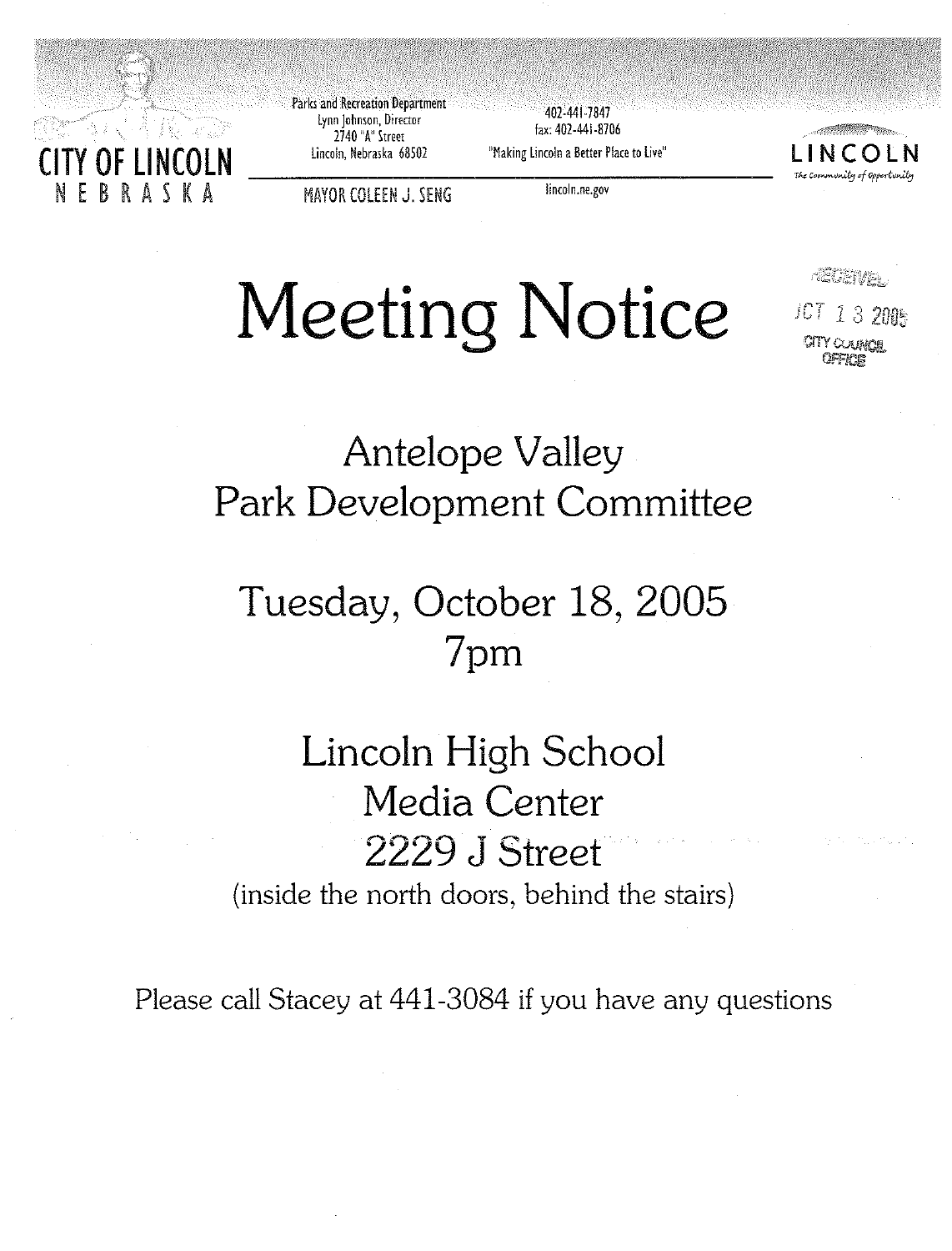

Parks and Recreation Department Lynn Johnson, Director 2740 "A" Street Lincoln, Nebraska 68502

407-441-7847 fax: 402-441-8706 "Making Lincoln a Better Place to Live"



rictions.

JCT 13 2005 TY CERRICH

**MAYOR COLEEN J. SENG** 

lincoln.ne.gov

# **Meeting Notice**

## **Antelope Valley** Park Development Committee

## Tuesday, October 18, 2005 7pm

## Lincoln High School Media Center 2229 J Street (inside the north doors, behind the stairs)

Please call Stacey at 441-3084 if you have any questions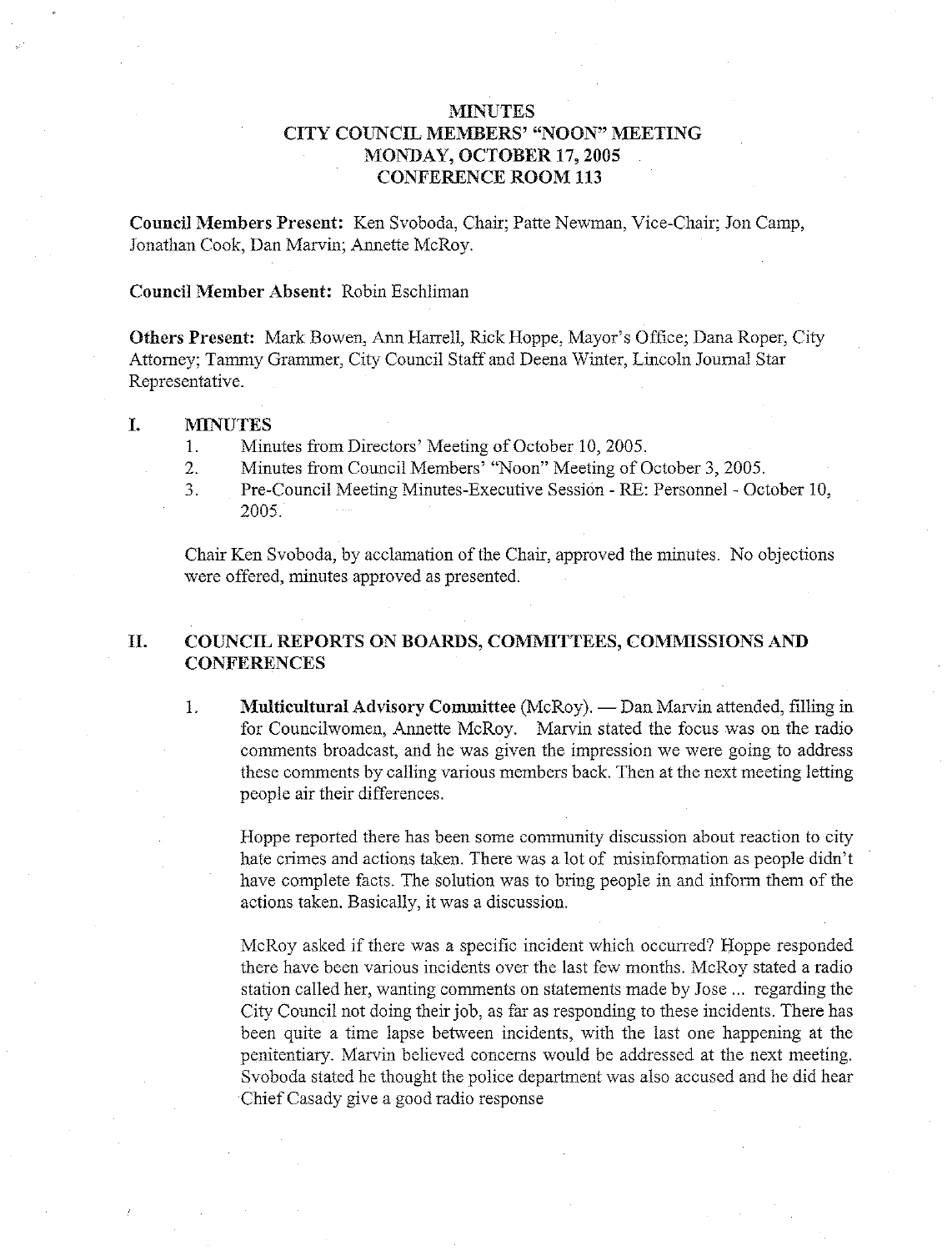### **MINUTES** CITY COUNCIL MEMBERS' "NOON" MEETING MONDAY, OCTOBER 17, 2005 **CONFERENCE ROOM 113**

Council Members Present: Ken Svoboda, Chair; Patte Newman, Vice-Chair; Jon Camp, Jonathan Cook, Dan Marvin; Annette McRoy.

### Council Member Absent: Robin Eschliman

Others Present: Mark Bowen, Ann Harrell, Rick Hoppe, Mayor's Office; Dana Roper, City Attorney; Tammy Grammer, City Council Staff and Deena Winter, Lincoln Journal Star Representative.

#### I. **MINUTES**

- Minutes from Directors' Meeting of October 10, 2005.  $\mathbf{1}$ .
- Minutes from Council Members' "Noon" Meeting of October 3, 2005.  $\overline{2}$ .
- Pre-Council Meeting Minutes-Executive Session RE: Personnel October 10,  $\overline{3}$ .  $2005$

Chair Ken Svoboda, by acclamation of the Chair, approved the minutes. No objections were offered, minutes approved as presented.

#### П. COUNCIL REPORTS ON BOARDS, COMMITTEES, COMMISSIONS AND **CONFERENCES**

1. Multicultural Advisory Committee (McRoy). — Dan Marvin attended, filling in for Councilwomen, Annette McRoy. Marvin stated the focus was on the radio comments broadcast, and he was given the impression we were going to address these comments by calling various members back. Then at the next meeting letting people air their differences.

Hoppe reported there has been some community discussion about reaction to city hate crimes and actions taken. There was a lot of misinformation as people didn't have complete facts. The solution was to bring people in and inform them of the actions taken. Basically, it was a discussion.

McRoy asked if there was a specific incident which occurred? Hoppe responded there have been various incidents over the last few months. McRoy stated a radio station called her, wanting comments on statements made by Jose ... regarding the City Council not doing their job, as far as responding to these incidents. There has been quite a time lapse between incidents, with the last one happening at the penitentiary. Marvin believed concerns would be addressed at the next meeting. Svoboda stated he thought the police department was also accused and he did hear Chief Casady give a good radio response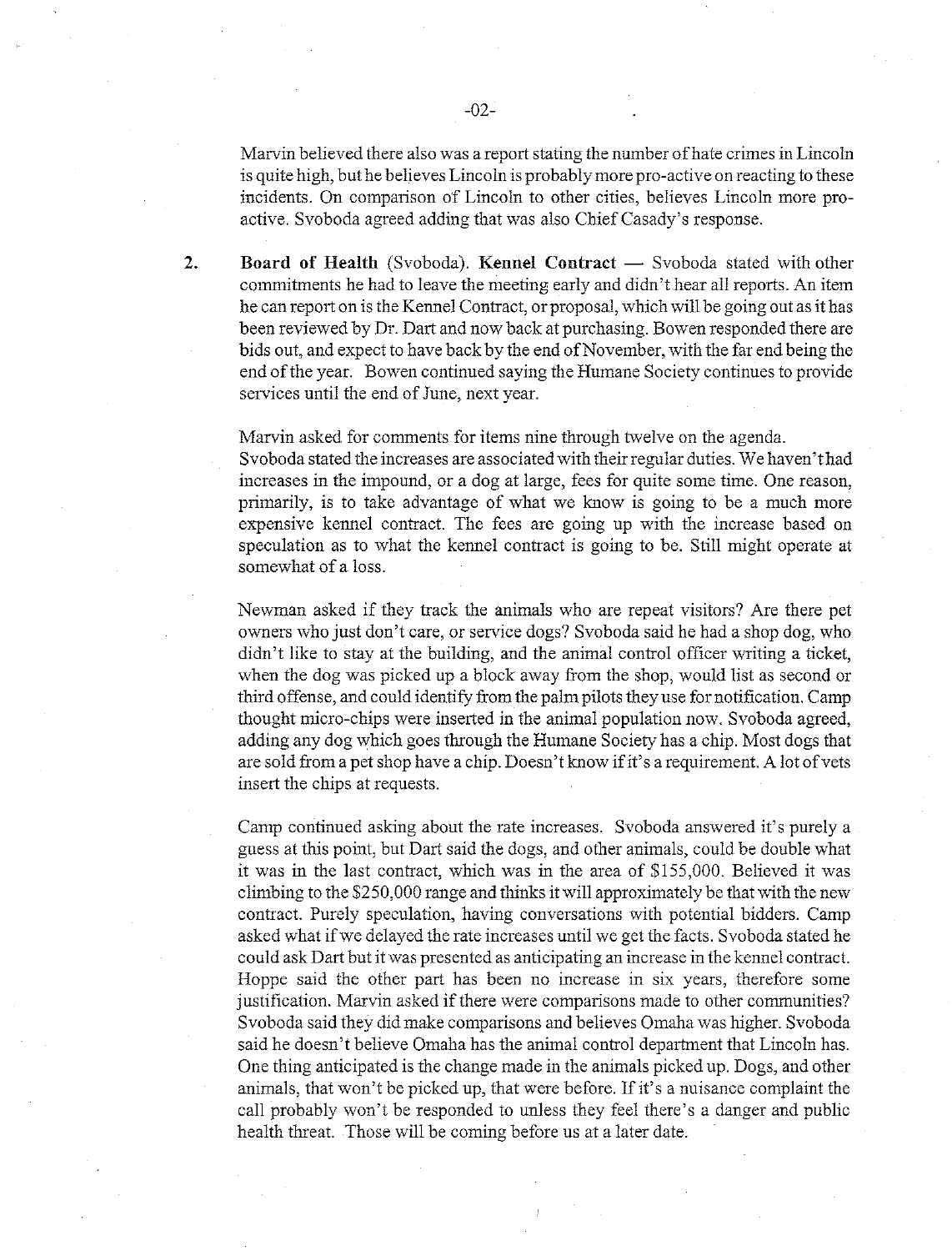Marvin believed there also was a report stating the number of hate crimes in Lincoln is quite high, but he believes Lincoln is probably more pro-active on reacting to these incidents. On comparison of Lincoln to other cities, believes Lincoln more proactive. Svoboda agreed adding that was also Chief Casady's response.

Board of Health (Svoboda). Kennel Contract — Svoboda stated with other commitments he had to leave the meeting early and didn't hear all reports. An item he can report on is the Kennel Contract, or proposal, which will be going out as it has been reviewed by Dr. Dart and now back at purchasing. Bowen responded there are bids out, and expect to have back by the end of November, with the far end being the end of the year. Bowen continued saying the Humane Society continues to provide services until the end of June, next year.

Marvin asked for comments for items nine through twelve on the agenda. Svoboda stated the increases are associated with their regular duties. We haven't had increases in the impound, or a dog at large, fees for quite some time. One reason, primarily, is to take advantage of what we know is going to be a much more expensive kennel contract. The fees are going up with the increase based on speculation as to what the kennel contract is going to be. Still might operate at somewhat of a loss.

Newman asked if they track the animals who are repeat visitors? Are there pet owners who just don't care, or service dogs? Svoboda said he had a shop dog, who didn't like to stay at the building, and the animal control officer writing a ticket, when the dog was picked up a block away from the shop, would list as second or third offense, and could identify from the palm pilots they use for notification. Camp thought micro-chips were inserted in the animal population now. Svoboda agreed, adding any dog which goes through the Humane Society has a chip. Most dogs that are sold from a pet shop have a chip. Doesn't know if it's a requirement. A lot of vets insert the chips at requests.

Camp continued asking about the rate increases. Svoboda answered it's purely a guess at this point, but Dart said the dogs, and other animals, could be double what it was in the last contract, which was in the area of \$155,000. Believed it was climbing to the \$250,000 range and thinks it will approximately be that with the new contract. Purely speculation, having conversations with potential bidders. Camp asked what if we delayed the rate increases until we get the facts. Svoboda stated he could ask Dart but it was presented as anticipating an increase in the kennel contract. Hoppe said the other part has been no increase in six years, therefore some justification. Marvin asked if there were comparisons made to other communities? Svoboda said they did make comparisons and believes Omaha was higher. Svoboda said he doesn't believe Omaha has the animal control department that Lincoln has. One thing anticipated is the change made in the animals picked up. Dogs, and other animals, that won't be picked up, that were before. If it's a nuisance complaint the call probably won't be responded to unless they feel there's a danger and public health threat. Those will be coming before us at a later date.

 $\overline{2}$ .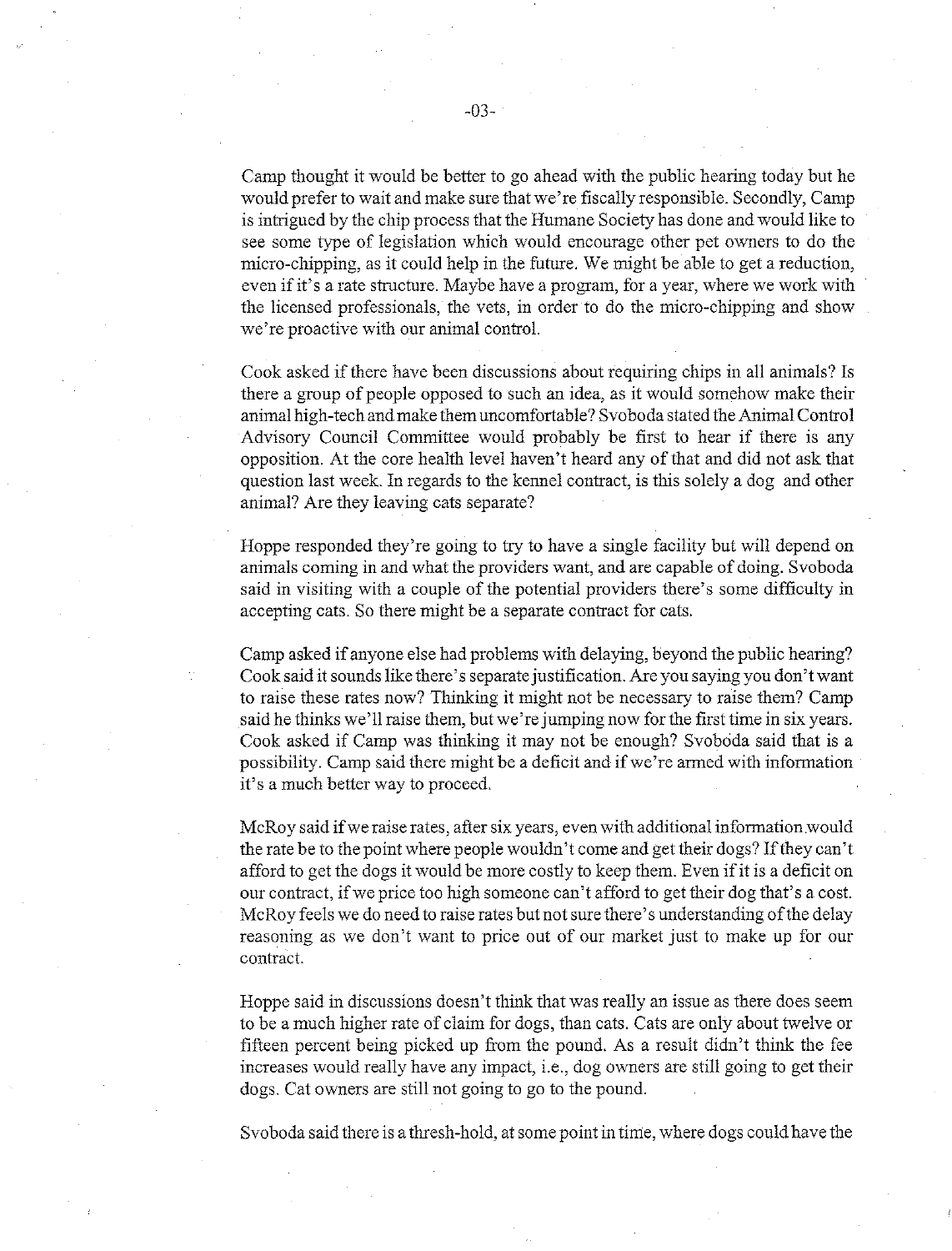Camp thought it would be better to go ahead with the public hearing today but he would prefer to wait and make sure that we're fiscally responsible. Secondly, Camp is intrigued by the chip process that the Humane Society has done and would like to see some type of legislation which would encourage other pet owners to do the micro-chipping, as it could help in the future. We might be able to get a reduction, even if it's a rate structure. Maybe have a program, for a year, where we work with the licensed professionals, the vets, in order to do the micro-chipping and show we're proactive with our animal control.

Cook asked if there have been discussions about requiring chips in all animals? Is there a group of people opposed to such an idea, as it would somehow make their animal high-tech and make them uncomfortable? Svoboda stated the Animal Control Advisory Council Committee would probably be first to hear if there is any opposition. At the core health level haven't heard any of that and did not ask that question last week. In regards to the kennel contract, is this solely a dog and other animal? Are they leaving cats separate?

Hoppe responded they're going to try to have a single facility but will depend on animals coming in and what the providers want, and are capable of doing. Svoboda said in visiting with a couple of the potential providers there's some difficulty in accepting cats. So there might be a separate contract for cats.

Camp asked if anyone else had problems with delaying, beyond the public hearing? Cook said it sounds like there's separate justification. Are you saying you don't want to raise these rates now? Thinking it might not be necessary to raise them? Camp said he thinks we'll raise them, but we're jumping now for the first time in six years. Cook asked if Camp was thinking it may not be enough? Svoboda said that is a possibility. Camp said there might be a deficit and if we're armed with information it's a much better way to proceed.

McRoy said if we raise rates, after six years, even with additional information would the rate be to the point where people wouldn't come and get their dogs? If they can't afford to get the dogs it would be more costly to keep them. Even if it is a deficit on our contract, if we price too high someone can't afford to get their dog that's a cost. McRoy feels we do need to raise rates but not sure there's understanding of the delay reasoning as we don't want to price out of our market just to make up for our contract.

Hoppe said in discussions doesn't think that was really an issue as there does seem to be a much higher rate of claim for dogs, than cats. Cats are only about twelve or fifteen percent being picked up from the pound. As a result didn't think the fee increases would really have any impact, i.e., dog owners are still going to get their dogs. Cat owners are still not going to go to the pound.

Svoboda said there is a thresh-hold, at some point in time, where dogs could have the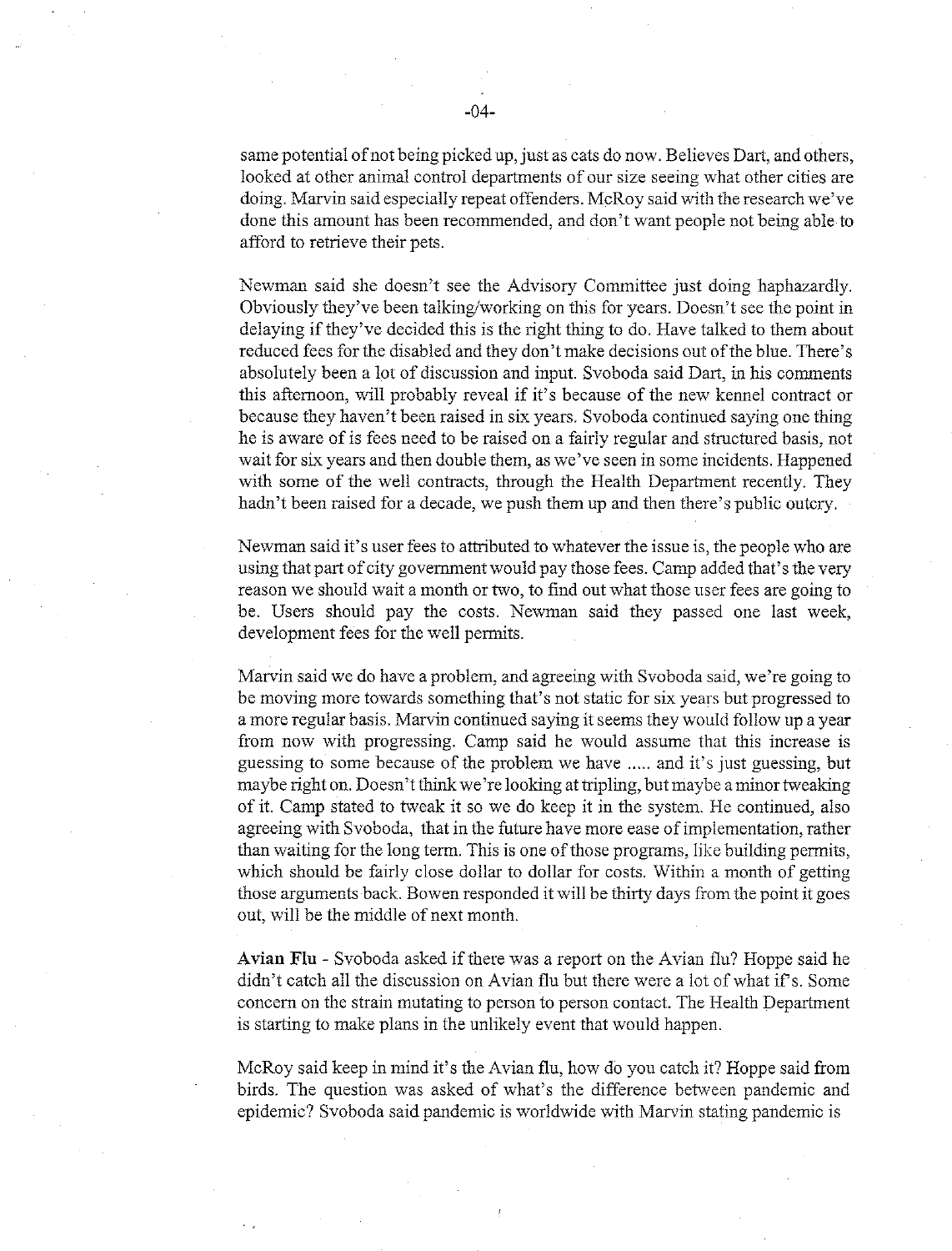same potential of not being picked up, just as cats do now. Believes Dart, and others, looked at other animal control departments of our size seeing what other cities are doing. Marvin said especially repeat offenders. McRoy said with the research we've done this amount has been recommended, and don't want people not being able to afford to retrieve their pets.

Newman said she doesn't see the Advisory Committee just doing haphazardly. Obviously they've been talking/working on this for years. Doesn't see the point in delaying if they've decided this is the right thing to do. Have talked to them about reduced fees for the disabled and they don't make decisions out of the blue. There's absolutely been a lot of discussion and input. Svoboda said Dart, in his comments this afternoon, will probably reveal if it's because of the new kennel contract or because they haven't been raised in six years. Syoboda continued saying one thing he is aware of is fees need to be raised on a fairly regular and structured basis, not wait for six years and then double them, as we've seen in some incidents. Happened with some of the well contracts, through the Health Department recently. They hadn't been raised for a decade, we push them up and then there's public outcry.

Newman said it's user fees to attributed to whatever the issue is, the people who are using that part of city government would pay those fees. Camp added that's the very reason we should wait a month or two, to find out what those user fees are going to be. Users should pay the costs. Newman said they passed one last week, development fees for the well permits.

Marvin said we do have a problem, and agreeing with Svoboda said, we're going to be moving more towards something that's not static for six years but progressed to a more regular basis. Marvin continued saying it seems they would follow up a year from now with progressing. Camp said he would assume that this increase is guessing to some because of the problem we have ..... and it's just guessing, but maybe right on. Doesn't think we're looking at tripling, but maybe a minor tweaking of it. Camp stated to tweak it so we do keep it in the system. He continued, also agreeing with Svoboda, that in the future have more ease of implementation, rather than waiting for the long term. This is one of those programs, like building permits, which should be fairly close dollar to dollar for costs. Within a month of getting those arguments back. Bowen responded it will be thirty days from the point it goes out, will be the middle of next month.

Avian Flu - Svoboda asked if there was a report on the Avian flu? Hoppe said he didn't catch all the discussion on Avian flu but there were a lot of what if's. Some concern on the strain mutating to person to person contact. The Health Department is starting to make plans in the unlikely event that would happen.

McRoy said keep in mind it's the Avian flu, how do you catch it? Hoppe said from birds. The question was asked of what's the difference between pandemic and epidemic? Svoboda said pandemic is worldwide with Marvin stating pandemic is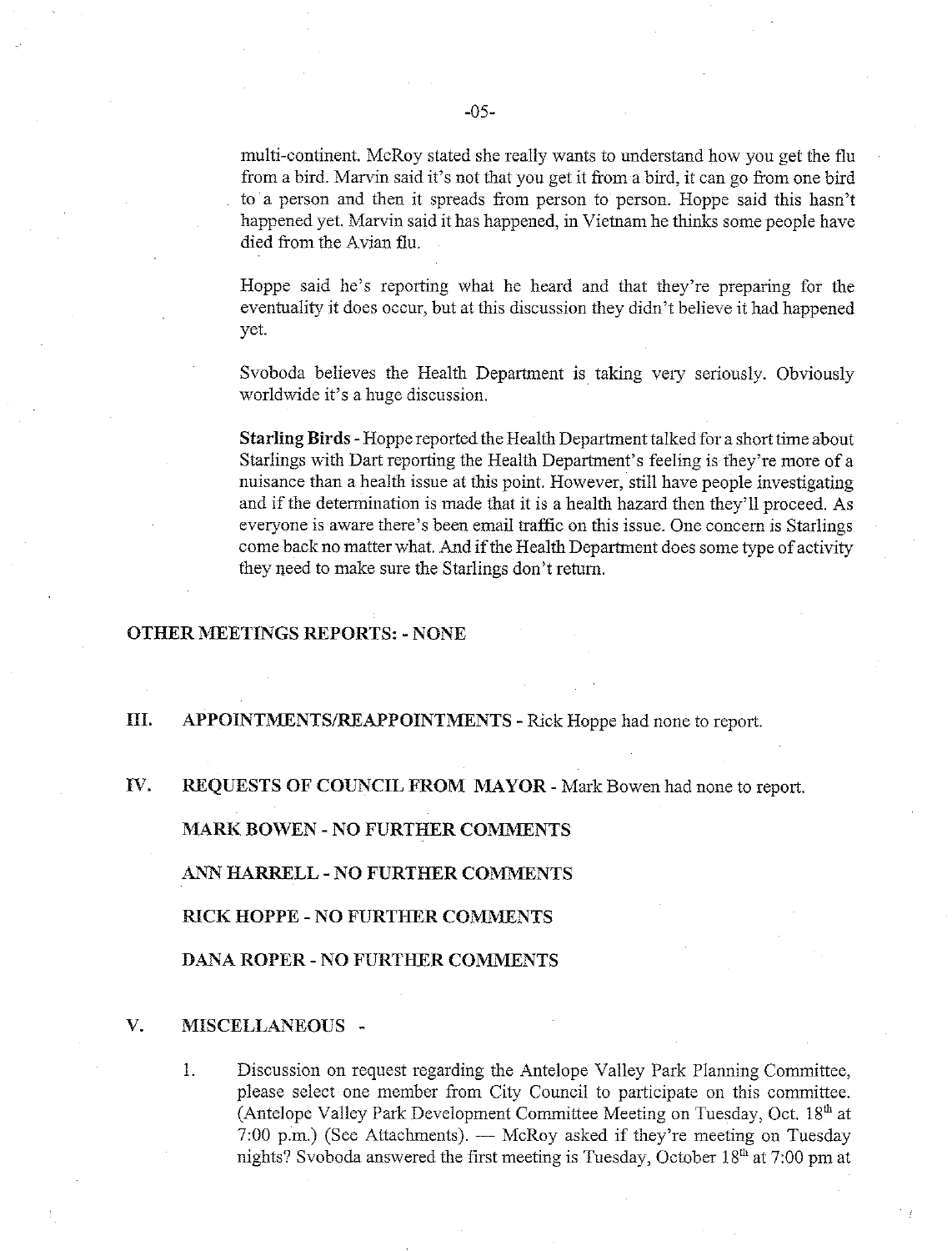multi-continent. McRoy stated she really wants to understand how you get the flu from a bird. Marvin said it's not that you get it from a bird, it can go from one bird to a person and then it spreads from person to person. Hoppe said this hasn't happened yet. Marvin said it has happened, in Vietnam he thinks some people have died from the Avian flu.

Hoppe said he's reporting what he heard and that they're preparing for the eventuality it does occur, but at this discussion they didn't believe it had happened yet.

Svoboda believes the Health Department is taking very seriously. Obviously worldwide it's a huge discussion.

Starling Birds - Hoppe reported the Health Department talked for a short time about Starlings with Dart reporting the Health Department's feeling is they're more of a nuisance than a health issue at this point. However, still have people investigating and if the determination is made that it is a health hazard then they'll proceed. As everyone is aware there's been email traffic on this issue. One concern is Starlings come back no matter what. And if the Health Department does some type of activity they need to make sure the Starlings don't return.

### **OTHER MEETINGS REPORTS: - NONE**

#### III. APPOINTMENTS/REAPPOINTMENTS - Rick Hoppe had none to report.

#### $\mathbf{V}$ . REQUESTS OF COUNCIL FROM MAYOR - Mark Bowen had none to report.

**MARK BOWEN - NO FURTHER COMMENTS** 

ANN HARRELL - NO FURTHER COMMENTS

RICK HOPPE - NO FURTHER COMMENTS

**DANA ROPER - NO FURTHER COMMENTS** 

#### $V_{r}$ MISCELLANEOUS -

 $\mathbf{1}$ Discussion on request regarding the Antelope Valley Park Planning Committee, please select one member from City Council to participate on this committee. (Antelope Valley Park Development Committee Meeting on Tuesday, Oct. 18th at 7:00 p.m.) (See Attachments). — McRoy asked if they're meeting on Tuesday nights? Svoboda answered the first meeting is Tuesday, October 18<sup>th</sup> at 7:00 pm at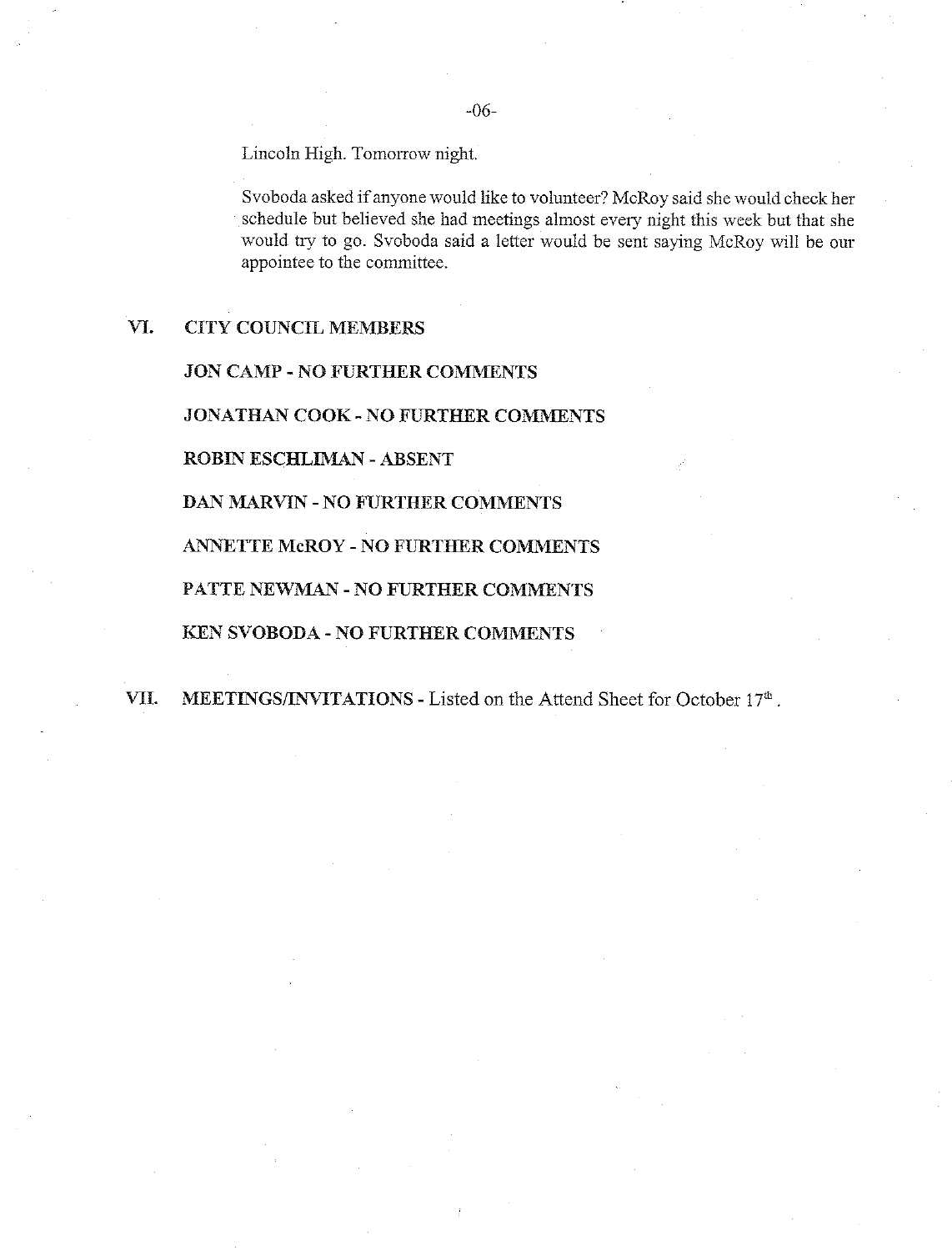Lincoln High. Tomorrow night.

Svoboda asked if anyone would like to volunteer? McRoy said she would check her schedule but believed she had meetings almost every night this week but that she would try to go. Svoboda said a letter would be sent saying McRoy will be our appointee to the committee.

#### VI. **CITY COUNCIL MEMBERS**

**JON CAMP - NO FURTHER COMMENTS** 

**JONATHAN COOK - NO FURTHER COMMENTS** 

**ROBIN ESCHLIMAN - ABSENT** 

**DAN MARVIN - NO FURTHER COMMENTS** 

**ANNETTE McROY - NO FURTHER COMMENTS** 

PATTE NEWMAN - NO FURTHER COMMENTS

KEN SVOBODA - NO FURTHER COMMENTS

VII. MEETINGS/INVITATIONS - Listed on the Attend Sheet for October 17<sup>th</sup>.